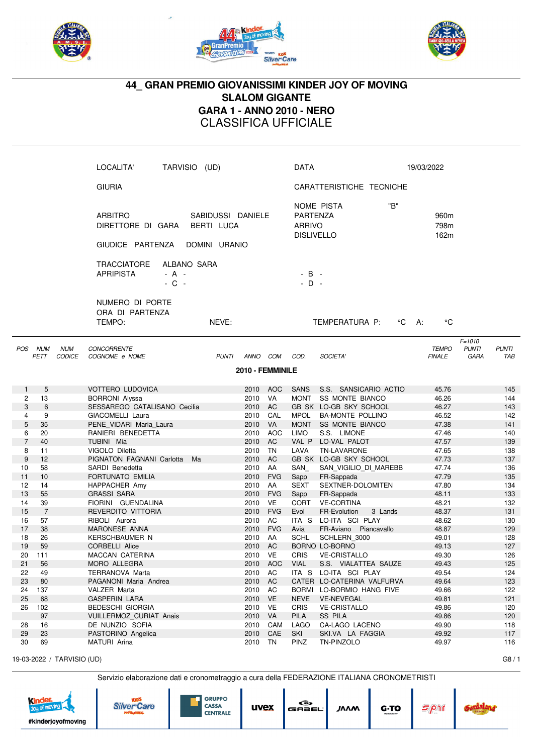





## **44\_ GRAN PREMIO GIOVANISSIMI KINDER JOY OF MOVING SLALOM GIGANTE GARA 1 - ANNO 2010 - NERO** CLASSIFICA UFFICIALE

|                |                    |                             | LOCALITA'                                                      | TARVISIO (UD)                                    |                    |                  | <b>DATA</b>                                    |                                          | 19/03/2022                       |                                           |                     |
|----------------|--------------------|-----------------------------|----------------------------------------------------------------|--------------------------------------------------|--------------------|------------------|------------------------------------------------|------------------------------------------|----------------------------------|-------------------------------------------|---------------------|
|                |                    |                             | <b>GIURIA</b>                                                  |                                                  |                    |                  |                                                | CARATTERISTICHE TECNICHE                 |                                  |                                           |                     |
|                |                    |                             | <b>ARBITRO</b><br>DIRETTORE DI GARA<br>GIUDICE PARTENZA        | SABIDUSSI DANIELE<br>BERTI LUCA<br>DOMINI URANIO |                    |                  | PARTENZA<br><b>ARRIVO</b><br><b>DISLIVELLO</b> | "B"<br>NOME PISTA                        | 960 <sub>m</sub><br>798m<br>162m |                                           |                     |
|                |                    |                             | <b>TRACCIATORE</b><br><b>APRIPISTA</b><br>$- A -$<br>$-$ C $-$ | ALBANO SARA                                      |                    |                  | $-B -$<br>$-$ D $-$                            |                                          |                                  |                                           |                     |
|                |                    |                             | NUMERO DI PORTE<br>ORA DI PARTENZA<br>TEMPO:                   | NEVE:                                            |                    |                  |                                                | TEMPERATURA P:<br>°C                     | $^{\circ}$ C<br>- A:             |                                           |                     |
| POS            | <b>NUM</b><br>PETT | <b>NUM</b><br><b>CODICE</b> | <b>CONCORRENTE</b><br>COGNOME e NOME                           | <b>PUNTI</b>                                     | ANNO COM           |                  | COD.                                           | SOCIETA'                                 | <b>TEMPO</b><br><b>FINALE</b>    | $F = 1010$<br><b>PUNTI</b><br><b>GARA</b> | <b>PUNTI</b><br>TAB |
|                |                    |                             |                                                                |                                                  | 2010 - FEMMINILE   |                  |                                                |                                          |                                  |                                           |                     |
| 1              | 5                  |                             | <b>VOTTERO LUDOVICA</b>                                        |                                                  | 2010               | <b>AOC</b>       | <b>SANS</b>                                    | S.S. SANSICARIO ACTIO                    | 45.76                            |                                           | 145                 |
| 2              | 13                 |                             | <b>BORRONI</b> Alyssa                                          |                                                  | 2010               | VA               | <b>MONT</b>                                    | <b>SS MONTE BIANCO</b>                   | 46.26                            |                                           | 144                 |
| 3              | 6                  |                             | SESSAREGO CATALISANO Cecilia                                   |                                                  | 2010               | AC               |                                                | GB SK LO-GB SKY SCHOOL                   | 46.27                            |                                           | 143                 |
| 4              | 9                  |                             | GIACOMELLI Laura                                               |                                                  | 2010               | CAL              | MPOL                                           | <b>BA-MONTE POLLINO</b>                  | 46.52                            |                                           | 142                 |
| 5              | 35                 |                             | PENE VIDARI Maria Laura                                        |                                                  | 2010               | <b>VA</b>        |                                                | MONT SS MONTE BIANCO                     | 47.38                            |                                           | 141                 |
| 6              | 20                 |                             | RANIERI BENEDETTA                                              |                                                  | 2010               | <b>AOC</b>       | LIMO                                           | S.S. LIMONE                              | 47.46                            |                                           | 140                 |
| $\overline{7}$ | 40                 |                             | TUBINI Mia                                                     |                                                  | 2010               | AC               |                                                | VAL P LO-VAL PALOT                       | 47.57                            |                                           | 139                 |
| 8              | 11                 |                             | VIGOLO Diletta                                                 |                                                  | 2010               | <b>TN</b>        | LAVA                                           | <b>TN-LAVARONE</b>                       | 47.65                            |                                           | 138                 |
| 9              | 12                 |                             | PIGNATON FAGNANI Carlotta                                      | Ma                                               | 2010 AC            |                  |                                                | GB SK LO-GB SKY SCHOOL                   | 47.73                            |                                           | 137                 |
| 10             | 58                 |                             | SARDI Benedetta                                                |                                                  | 2010               | AA               | SAN                                            | SAN_VIGILIO_DI_MAREBB                    | 47.74                            |                                           | 136                 |
| 11<br>12       | 10<br>14           |                             | FORTUNATO EMILIA                                               |                                                  | 2010               | <b>FVG</b><br>AA | Sapp                                           | FR-Sappada                               | 47.79                            |                                           | 135<br>134          |
| 13             | 55                 |                             | HAPPACHER Amy<br><b>GRASSI SARA</b>                            |                                                  | 2010<br>2010       | <b>FVG</b>       | SEXT<br>Sapp                                   | SEXTNER-DOLOMITEN<br>FR-Sappada          | 47.80<br>48.11                   |                                           | 133                 |
| 14             | 39                 |                             | FIORINI GUENDALINA                                             |                                                  | 2010               | <b>VE</b>        | <b>CORT</b>                                    | <b>VE-CORTINA</b>                        | 48.21                            |                                           | 132                 |
| 15             | $\overline{7}$     |                             | REVERDITO VITTORIA                                             |                                                  | 2010               | <b>FVG</b>       | Evol                                           | 3 Lands<br>FR-Evolution                  | 48.37                            |                                           | 131                 |
| 16             | 57                 |                             | RIBOLI Aurora                                                  |                                                  | 2010               | AC               |                                                | ITA S LO-ITA SCI PLAY                    | 48.62                            |                                           | 130                 |
| 17             | 38                 |                             | <b>MARONESE ANNA</b>                                           |                                                  | 2010               | <b>FVG</b>       | Avia                                           | FR-Aviano Piancavallo                    | 48.87                            |                                           | 129                 |
| 18             | 26                 |                             | <b>KERSCHBAUMER N</b>                                          |                                                  | 2010               | AA               | SCHL                                           | SCHLERN_3000                             | 49.01                            |                                           | 128                 |
| 19             | 59                 |                             | <b>CORBELLI Alice</b>                                          |                                                  | 2010 AC            |                  |                                                | BORNO LO-BORNO                           | 49.13                            |                                           | 127                 |
| 20             | 111                |                             | MACCAN CATERINA                                                |                                                  | 2010 VE            |                  | CRIS                                           | <b>VE-CRISTALLO</b>                      | 49.30                            |                                           | 126                 |
| 21             | 56                 |                             | MORO ALLEGRA                                                   |                                                  |                    | 2010 AOC         | <b>VIAL</b>                                    | S.S. VIALATTEA SAUZE                     | 49.43                            |                                           | 125                 |
| 22             | 49                 |                             | TERRANOVA Marta                                                |                                                  | 2010               | AC               |                                                | ITA S LO-ITA SCI PLAY                    | 49.54                            |                                           | 124                 |
| 23             | 80                 |                             | PAGANONI Maria Andrea                                          |                                                  | 2010 AC            |                  |                                                | CATER LO-CATERINA VALFURVA               | 49.64                            |                                           | 123                 |
| 24             | 137                |                             | VALZER Marta                                                   |                                                  | 2010               | AC               |                                                | BORMI LO-BORMIO HANG FIVE                | 49.66                            |                                           | 122                 |
| 25             | 68<br>102          |                             | <b>GASPERIN LARA</b>                                           |                                                  | 2010 VE<br>2010 VE |                  | <b>NEVE</b><br>CRIS                            | <b>VE-NEVEGAL</b><br><b>VE-CRISTALLO</b> | 49.81<br>49.86                   |                                           | 121                 |
| 26             | 97                 |                             | <b>BEDESCHI GIORGIA</b><br><b>VUILLERMOZ CURIAT Anais</b>      |                                                  | 2010               | VA               | <b>PILA</b>                                    | <b>SS PILA</b>                           | 49.86                            |                                           | 120<br>120          |
| 28             | 16                 |                             | DE NUNZIO SOFIA                                                |                                                  | 2010               | CAM              | LAGO                                           | CA-LAGO LACENO                           | 49.90                            |                                           | 118                 |
| 29             | 23                 |                             | PASTORINO Angelica                                             |                                                  | 2010               | CAE              | SKI                                            | SKI.VA LA FAGGIA                         | 49.92                            |                                           | 117                 |
| 30             | 69                 |                             | MATURI Arina                                                   |                                                  | 2010 TN            |                  | PINZ                                           | TN-PINZOLO                               | 49.97                            |                                           | 116                 |

19-03-2022 / TARVISIO (UD) G8 / 1

Servizio elaborazione dati e cronometraggio a cura della FEDERAZIONE ITALIANA CRONOMETRISTI





| G,<br>uvex<br>GABEL |
|---------------------|
|---------------------|

**JAAM** 

| RONOMETRISTI |         |  |
|--------------|---------|--|
| G-TO         | $5\rho$ |  |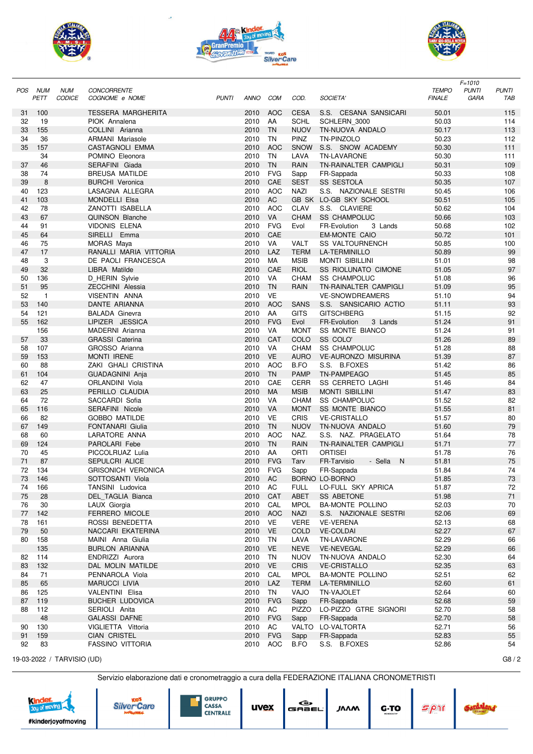





|          |                |               |                           |              |             |            |              |                             |               | $F = 1010$                   |
|----------|----------------|---------------|---------------------------|--------------|-------------|------------|--------------|-----------------------------|---------------|------------------------------|
| POS      | NUM            | <b>NUM</b>    | <b>CONCORRENTE</b>        |              |             |            |              |                             | <b>TEMPO</b>  | <b>PUNTI</b><br><b>PUNTI</b> |
|          | PETT           | <b>CODICE</b> | COGNOME e NOME            | <b>PUNTI</b> | <b>ANNO</b> | <b>COM</b> | COD.         | SOCIETA'                    | <b>FINALE</b> | GARA<br>TAB                  |
|          | 100            |               | <b>TESSERA MARGHERITA</b> |              | 2010        | <b>AOC</b> | <b>CESA</b>  | S.S. CESANA SANSICARI       | 50.01         | 115                          |
| 31<br>32 | 19             |               | PIOK Annalena             |              | 2010        | AA         | <b>SCHL</b>  | SCHLERN 3000                | 50.03         | 114                          |
| 33       | 155            |               | COLLINI Arianna           |              | 2010        | <b>TN</b>  | <b>NUOV</b>  | TN-NUOVA ANDALO             | 50.17         | 113                          |
| 34       | 36             |               | <b>ARMANI</b> Mariasole   |              | 2010        | <b>TN</b>  | PINZ         | TN-PINZOLO                  | 50.23         | 112                          |
| 35       | 157            |               |                           |              | 2010        | <b>AOC</b> | <b>SNOW</b>  | S.S. SNOW ACADEMY           | 50.30         | 111                          |
|          |                |               | CASTAGNOLI EMMA           |              |             | <b>TN</b>  |              |                             |               |                              |
|          | 34             |               | POMINO Eleonora           |              | 2010        |            | LAVA         | <b>TN-LAVARONE</b>          | 50.30         | 111                          |
| 37       | 46             |               | SERAFINI Giada            |              | 2010        | <b>TN</b>  | <b>RAIN</b>  | TN-RAINALTER CAMPIGLI       | 50.31         | 109                          |
| 38       | 74             |               | <b>BREUSA MATILDE</b>     |              | 2010        | <b>FVG</b> | Sapp         | FR-Sappada                  | 50.33         | 108                          |
| 39       | 8              |               | <b>BURCHI Veronica</b>    |              | 2010        | CAE        | <b>SEST</b>  | <b>SS SESTOLA</b>           | 50.35         | 107                          |
| 40       | 123            |               | LASAGNA ALLEGRA           |              | 2010        | <b>AOC</b> | <b>NAZI</b>  | S.S. NAZIONALE SESTRI       | 50.45         | 106                          |
| 41       | 103            |               | <b>MONDELLI Elsa</b>      |              | 2010        | AC         |              | GB SK LO-GB SKY SCHOOL      | 50.51         | 105                          |
| 42       | 78             |               | ZANOTTI ISABELLA          |              | 2010        | <b>AOC</b> | <b>CLAV</b>  | S.S. CLAVIERE               | 50.62         | 104                          |
| 43       | 67             |               | <b>QUINSON Blanche</b>    |              | 2010        | <b>VA</b>  | <b>CHAM</b>  | <b>SS CHAMPOLUC</b>         | 50.66         | 103                          |
| 44       | 91             |               | <b>VIDONIS ELENA</b>      |              | 2010        | <b>FVG</b> | Evol         | FR-Evolution<br>3 Lands     | 50.68         | 102                          |
| 45       | 64             |               | SIRELLI Emma              |              | 2010        | CAE        |              | <b>EM-MONTE CAIO</b>        | 50.72         | 101                          |
| 46       | 75             |               | MORAS Maya                |              | 2010        | VA         | VALT         | <b>SS VALTOURNENCH</b>      | 50.85         | 100                          |
| 47       | 17             |               | RANALLI MARIA VITTORIA    |              | 2010        | LAZ        | <b>TERM</b>  | <b>LA-TERMINILLO</b>        | 50.89         | 99                           |
| 48       | 3              |               | DE PAOLI FRANCESCA        |              | 2010        | MA         | <b>MSIB</b>  | <b>MONTI SIBILLINI</b>      | 51.01         | 98                           |
| 49       | 32             |               | LIBRA Matilde             |              | 2010        | CAE        | <b>RIOL</b>  | <b>SS RIOLUNATO CIMONE</b>  | 51.05         | 97                           |
| 50       | 136            |               | D_HERIN Sylvie            |              | 2010        | VA         | <b>CHAM</b>  | <b>SS CHAMPOLUC</b>         | 51.08         | 96                           |
| 51       | 95             |               | <b>ZECCHINI Alessia</b>   |              | 2010        | <b>TN</b>  | <b>RAIN</b>  | TN-RAINALTER CAMPIGLI       | 51.09         | 95                           |
| 52       | $\overline{1}$ |               | VISENTIN ANNA             |              | 2010        | <b>VE</b>  |              | <b>VE-SNOWDREAMERS</b>      | 51.10         | 94                           |
| 53       | 140            |               | DANTE ARIANNA             |              | 2010        | <b>AOC</b> | <b>SANS</b>  | S.S. SANSICARIO ACTIO       | 51.11         | 93                           |
| 54       | 121            |               | <b>BALADA Ginevra</b>     |              | 2010        | AA         | <b>GITS</b>  | <b>GITSCHBERG</b>           | 51.15         | 92                           |
| 55       | 162            |               | LIPIZER JESSICA           |              | 2010        | <b>FVG</b> | Evol         | FR-Evolution<br>3 Lands     | 51.24         | 91                           |
|          | 156            |               | MADERNI Arianna           |              | 2010        | VA         | <b>MONT</b>  | <b>SS MONTE BIANCO</b>      | 51.24         | 91                           |
| 57       | 33             |               | <b>GRASSI Caterina</b>    |              | 2010        | CAT        | COLO         | SS COLO'                    | 51.26         | 89                           |
| 58       | 107            |               | GROSSO Arianna            |              | 2010        | VA         | <b>CHAM</b>  | <b>SS CHAMPOLUC</b>         | 51.28         | 88                           |
| 59       | 153            |               | <b>MONTI IRENE</b>        |              | 2010        | <b>VE</b>  | <b>AURO</b>  | <b>VE-AURONZO MISURINA</b>  | 51.39         | 87                           |
| 60       | 88             |               | ZAKI GHALI CRISTINA       |              | 2010        | <b>AOC</b> | B.FO         | S.S. B.FOXES                | 51.42         | 86                           |
| 61       | 104            |               | GUADAGNINI Anja           |              | 2010        | <b>TN</b>  | <b>PAMP</b>  | TN-PAMPEAGO                 | 51.45         | 85                           |
| 62       | 47             |               | ORLANDINI Viola           |              | 2010        | CAE        | <b>CERR</b>  | <b>SS CERRETO LAGHI</b>     | 51.46         | 84                           |
| 63       | 25             |               | PERILLO CLAUDIA           |              | 2010        | MA         | <b>MSIB</b>  | <b>MONTI SIBILLINI</b>      | 51.47         | 83                           |
| 64       | 72             |               | SACCARDI Sofia            |              | 2010        | VA         | <b>CHAM</b>  | <b>SS CHAMPOLUC</b>         | 51.52         | 82                           |
| 65       | 116            |               | <b>SERAFINI Nicole</b>    |              | 2010        | VA         | <b>MONT</b>  | <b>SS MONTE BIANCO</b>      | 51.55         | 81                           |
| 66       | 82             |               | <b>GOBBO MATILDE</b>      |              | 2010        | <b>VE</b>  | <b>CRIS</b>  | <b>VE-CRISTALLO</b>         | 51.57         | 80                           |
| 67       | 149            |               | <b>FONTANARI Giulia</b>   |              | 2010        | <b>TN</b>  | <b>NUOV</b>  | TN-NUOVA ANDALO             | 51.60         | 79                           |
| 68       | 60             |               | LARATORE ANNA             |              | 2010        | <b>AOC</b> | NAZ.         | S.S. NAZ. PRAGELATO         | 51.64         | 78                           |
| 69       | 124            |               | PAROLARI Febe             |              | 2010        | <b>TN</b>  | <b>RAIN</b>  | TN-RAINALTER CAMPIGLI       | 51.71         | 77                           |
| 70       | 45             |               | PICCOLRUAZ Lulia          |              | 2010        | AA         | ORTI         | <b>ORTISEI</b>              | 51.78         | 76                           |
| 71       | 87             |               | <b>SEPULCRI ALICE</b>     |              | 2010        | <b>FVG</b> | Tarv         | FR-Tarvisio<br>- Sella<br>N | 51.81         | 75                           |
| 72       | 134            |               | <b>GRISONICH VERONICA</b> |              | 2010        | <b>FVG</b> | Sapp         | FR-Sappada                  | 51.84         | 74                           |
| 73       | 146            |               | SOTTOSANTI Viola          |              | 2010        | AC         |              | BORNO LO-BORNO              | 51.85         | 73                           |
| 74       | 166            |               | TANSINI Ludovica          |              | 2010 AC     |            | <b>FULL</b>  | LO-FULL SKY APRICA          | 51.87         | 72                           |
| 75       | 28             |               | DEL TAGLIA Bianca         |              | 2010        | CAT        | ABET         | <b>SS ABETONE</b>           | 51.98         | 71                           |
| 76       | 30             |               | LAUX Giorgia              |              | 2010        | CAL        | <b>MPOL</b>  | <b>BA-MONTE POLLINO</b>     | 52.03         | 70                           |
| 77       | 142            |               | FERRERO MICOLE            |              | 2010        | AOC        | <b>NAZI</b>  | S.S. NAZIONALE SESTRI       | 52.06         | 69                           |
| 78       | 161            |               | ROSSI BENEDETTA           |              | 2010        | VE         | <b>VERE</b>  | <b>VE-VERENA</b>            | 52.13         | 68                           |
| 79       | 50             |               | NACCARI EKATERINA         |              | 2010 VE     |            | COLD         | <b>VE-COLDAI</b>            | 52.27         | 67                           |
| 80       | 158            |               | MAINI Anna Giulia         |              | 2010        | TN         | LAVA         | TN-LAVARONE                 | 52.29         | 66                           |
|          | 135            |               | <b>BURLON ARIANNA</b>     |              | 2010 VE     |            | <b>NEVE</b>  | <b>VE-NEVEGAL</b>           | 52.29         | 66                           |
| 82       | 114            |               | ENDRIZZI Aurora           |              | 2010        | TN         | <b>NUOV</b>  | TN-NUOVA ANDALO             | 52.30         | 64                           |
| 83       | 132            |               | DAL MOLIN MATILDE         |              | 2010 VE     |            | CRIS         | <b>VE-CRISTALLO</b>         | 52.35         | 63                           |
| 84       | 71             |               | PENNAROLA Viola           |              | 2010        | CAL        | <b>MPOL</b>  | <b>BA-MONTE POLLINO</b>     | 52.51         | 62                           |
| 85       | 65             |               | <b>MARUCCI LIVIA</b>      |              | 2010        | LAZ        | <b>TERM</b>  | <b>LA-TERMINILLO</b>        | 52.60         | 61                           |
| 86       | 125            |               | VALENTINI Elisa           |              | 2010        | TN         | VAJO         | TN-VAJOLET                  | 52.64         | 60                           |
| 87       | 119            |               | <b>BUCHER LUDOVICA</b>    |              | 2010        | <b>FVG</b> | Sapp         | FR-Sappada                  | 52.68         | 59                           |
| 88       | 112            |               | SERIOLI Anita             |              | 2010        | AC         | <b>PIZZO</b> | LO-PIZZO GTRE SIGNORI       | 52.70         | 58                           |
|          | 48             |               | <b>GALASSI DAFNE</b>      |              | 2010 FVG    |            | Sapp         | FR-Sappada                  | 52.70         | 58                           |
| 90       | 130            |               | VIGLIETTA Vittoria        |              | 2010        | AC         |              | VALTO LO-VALTORTA           | 52.71         | 56                           |
| 91       | 159            |               | <b>CIAN CRISTEL</b>       |              | 2010        | <b>FVG</b> | Sapp         | FR-Sappada                  | 52.83         | 55                           |
| 92       | 83             |               | FASSINO VITTORIA          |              | 2010        | AOC        | B.FO         | S.S. B.FOXES                | 52.86         | 54                           |

19-03-2022 / TARVISIO (UD)

|  | Servizio elaborazione dati e cronometraggio a cura della FEDERAZIONE ITALIANA CRONOMETRIST |
|--|--------------------------------------------------------------------------------------------|
|  |                                                                                            |
|  |                                                                                            |





| <b>CRONOMETRISTI</b> |      |  |
|----------------------|------|--|
| G.TO                 | 5011 |  |

 $G8/2$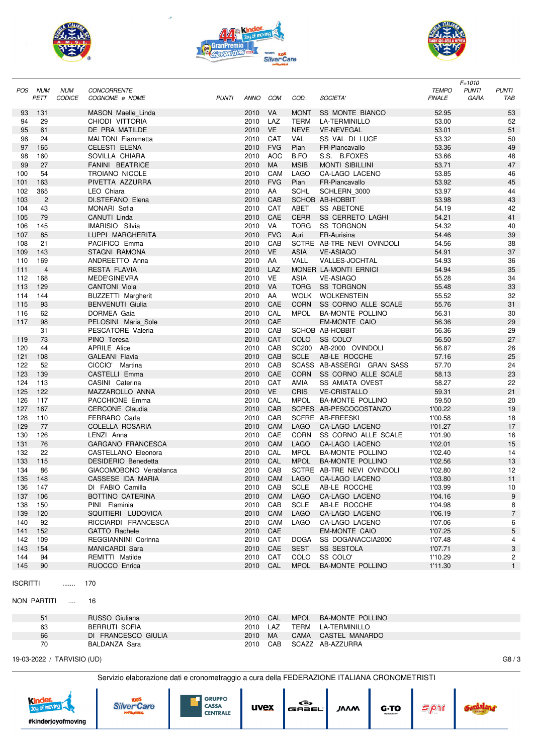





|                 |                |               |                            |              |          |            |             |                              |               | $F = 1010$   |                |
|-----------------|----------------|---------------|----------------------------|--------------|----------|------------|-------------|------------------------------|---------------|--------------|----------------|
| <b>POS</b>      | <b>NUM</b>     | <b>NUM</b>    | <b>CONCORRENTE</b>         |              |          |            |             |                              | <b>TEMPO</b>  | <b>PUNTI</b> | <b>PUNTI</b>   |
|                 | PETT           | <b>CODICE</b> | COGNOME e NOME             | <b>PUNTI</b> | ANNO     | COM        | COD.        | SOCIETA'                     | <b>FINALE</b> | <b>GARA</b>  | TAB            |
|                 |                |               | MASON Maelle_Linda         |              | 2010     | VA         | <b>MONT</b> |                              |               |              |                |
| 93              | 131            |               |                            |              |          |            |             | <b>SS MONTE BIANCO</b>       | 52.95         |              | 53             |
| 94              | 29             |               | CHIODI VITTORIA            |              | 2010     | LAZ        | <b>TERM</b> | LA-TERMINILLO                | 53.00         |              | 52             |
| 95              | 61             |               | DE PRA MATILDE             |              | 2010     | <b>VE</b>  | <b>NEVE</b> | <b>VE-NEVEGAL</b>            | 53.01         |              | 51             |
| 96              | 24             |               | <b>MALTONI</b> Fiammetta   |              | 2010     | CAT        | VAL         | SS VAL DI LUCE               | 53.32         |              | 50             |
| 97              | 165            |               | <b>CELESTI ELENA</b>       |              | 2010     | <b>FVG</b> | Pian        | FR-Piancavallo               | 53.36         |              | 49             |
| 98              | 160            |               | SOVILLA CHIARA             |              | 2010     | <b>AOC</b> | B.FO        | S.S. B.FOXES                 | 53.66         |              | 48             |
| 99              | 27             |               | <b>FANINI BEATRICE</b>     |              | 2010     | MA         | <b>MSIB</b> | <b>MONTI SIBILLINI</b>       | 53.71         |              | 47             |
| 100             | 54             |               | <b>TROIANO NICOLE</b>      |              | 2010     | CAM        | <b>LAGO</b> | <b>CA-LAGO LACENO</b>        | 53.85         |              | 46             |
| 101             | 163            |               | PIVETTA AZZURRA            |              | 2010     | <b>FVG</b> | Pian        | FR-Piancavallo               | 53.92         |              | 45             |
| 102             | 365            |               | LEO Chiara                 |              | 2010     | AA         | <b>SCHL</b> | SCHLERN 3000                 | 53.97         |              | 44             |
| 103             | $\overline{c}$ |               | DI.STEFANO Elena           |              | 2010     | CAB        |             | SCHOB AB-HOBBIT              | 53.98         |              | 43             |
| 104             | 43             |               | <b>MONARI Sofia</b>        |              | 2010     | CAT        | ABET        | <b>SS ABETONE</b>            | 54.19         |              | 42             |
| 105             | 79             |               | CANUTI Linda               |              | 2010     | CAE        | <b>CERR</b> | SS CERRETO LAGHI             | 54.21         |              | 41             |
| 106             | 145            |               | <b>IMARISIO Silvia</b>     |              | 2010     | VA         | <b>TORG</b> | <b>SS TORGNON</b>            | 54.32         |              | 40             |
| 107             | 85             |               | LUPPI MARGHERITA           |              | 2010     | <b>FVG</b> | Auri        | FR-Aurisina                  | 54.46         |              | 39             |
| 108             | 21             |               | PACIFICO Emma              |              | 2010     | CAB        |             | SCTRE AB-TRE NEVI OVINDOLI   | 54.56         |              | 38             |
| 109             | 143            |               | STAGNI RAMONA              |              | 2010     | <b>VE</b>  | <b>ASIA</b> | <b>VE-ASIAGO</b>             | 54.91         |              | 37             |
| 110             | 169            |               | ANDREETTO Anna             |              | 2010     | AA         | VALL        | <b>VALLES-JOCHTAL</b>        | 54.93         |              | 36             |
| 111             | $\overline{4}$ |               | RESTA FLAVIA               |              | 2010     | LAZ        |             | MONER LA-MONTI ERNICI        | 54.94         |              | 35             |
| 112             | 168            |               | MEDE'GINEVRA               |              | 2010     | VE         | ASIA        | <b>VE-ASIAGO</b>             | 55.28         |              | 34             |
| 113             | 129            |               | <b>CANTONI Viola</b>       |              | 2010     | VA         | <b>TORG</b> | <b>SS TORGNON</b>            | 55.48         |              | 33             |
| 114             | 144            |               | <b>BUZZETTI Margherit</b>  |              | 2010     | AA         | WOLK        | <b>WOLKENSTEIN</b>           | 55.52         |              | 32             |
| 115             | 93             |               | <b>BENVENUTI Giulia</b>    |              | 2010     | CAE        |             | CORN SS CORNO ALLE SCALE     | 55.76         |              | 31             |
|                 |                |               | DORMEA Gaia                |              |          |            |             | <b>BA-MONTE POLLINO</b>      |               |              |                |
| 116             | 62             |               |                            |              | 2010     | CAL        | <b>MPOL</b> |                              | 56.31         |              | 30             |
| 117             | 98             |               | PELOSINI Maria_Sole        |              | 2010     | CAE        |             | <b>EM-MONTE CAIO</b>         | 56.36         |              | 29             |
|                 | 31             |               | PESCATORE Valeria          |              | 2010     | CAB        |             | SCHOB AB-HOBBIT              | 56.36         |              | 29             |
| 119             | 73             |               | PINO Teresa                |              | 2010     | CAT        | COLO        | SS COLO'                     | 56.50         |              | 27             |
| 120             | 44             |               | <b>APRILE Alice</b>        |              | 2010     | CAB        |             | SC200 AB-2000 OVINDOLI       | 56.87         |              | 26             |
| 121             | 108            |               | GALEANI Flavia             |              | 2010     | CAB        | <b>SCLE</b> | AB-LE ROCCHE                 | 57.16         |              | 25             |
| 122             | 52             |               | CICCIO' Martina            |              | 2010     | CAB        |             | SCASS AB-ASSERGI GRAN SASS   | 57.70         |              | 24             |
| 123             | 139            |               | CASTELLI Emma              |              | 2010     | CAE        | <b>CORN</b> | SS CORNO ALLE SCALE          | 58.13         |              | 23             |
| 124             | 113            |               | CASINI Caterina            |              | 2010     | CAT        | AMIA        | <b>SS AMIATA OVEST</b>       | 58.27         |              | 22             |
| 125             | 122            |               | MAZZAROLLO ANNA            |              | 2010     | <b>VE</b>  | <b>CRIS</b> | <b>VE-CRISTALLO</b>          | 59.31         |              | 21             |
| 126             | 117            |               | PACCHIONE Emma             |              | 2010     | CAL        | <b>MPOL</b> | <b>BA-MONTE POLLINO</b>      | 59.50         |              | 20             |
| 127             | 167            |               | <b>CERCONE Claudia</b>     |              | 2010     | CAB        |             | SCPES AB-PESCOCOSTANZO       | 1'00.22       |              | 19             |
| 128             | 110            |               | <b>FERRARO Carla</b>       |              | 2010     | CAB        |             | SCFRE AB-FREESKI             | 1'00.58       |              | 18             |
| 129             | 77             |               | COLELLA ROSARIA            |              | 2010     | CAM        | <b>LAGO</b> | <b>CA-LAGO LACENO</b>        | 1'01.27       |              | 17             |
| 130             | 126            |               | LENZI Anna                 |              | 2010     | CAE        | <b>CORN</b> | SS CORNO ALLE SCALE          | 1'01.90       |              | 16             |
| 131             | 76             |               | <b>GARGANO FRANCESCA</b>   |              | 2010     | CAM        | <b>LAGO</b> | CA-LAGO LACENO               | 1'02.01       |              | 15             |
| 132             | 22             |               | CASTELLANO Eleonora        |              | 2010     | CAL        | MPOL        | <b>BA-MONTE POLLINO</b>      | 1'02.40       |              | 14             |
| 133             | 115            |               | <b>DESIDERIO Benedetta</b> |              | 2010     | CAL        | <b>MPOL</b> | <b>BA-MONTE POLLINO</b>      | 1'02.56       |              | 13             |
| 134             | 86             |               | GIACOMOBONO Verablanca     |              | 2010 CAB |            |             | SCTRE AB-TRE NEVI OVINDOLI   | 1'02.80       |              | 12             |
|                 | 135 148        |               | CASSESE IDA MARIA          |              |          |            |             | 2010 CAM LAGO CA-LAGO LACENO | 1'03.80       |              | 11             |
|                 | 136 147        |               | DI FABIO Camilla           |              | 2010 CAB |            | <b>SCLE</b> | AB-LE ROCCHE                 | 1'03.99       |              | 10             |
| 137             | 106            |               | BOTTINO CATERINA           |              | 2010     | CAM        | LAGO        | CA-LAGO LACENO               | 1'04.16       |              | 9              |
| 138             | 150            |               | PINI Flaminia              |              | 2010     | CAB        | SCLE        | AB-LE ROCCHE                 | 1'04.98       |              | 8              |
| 139             | 120            |               | SQUITIERI LUDOVICA         |              | 2010     | CAM        | LAGO        | CA-LAGO LACENO               | 1'06.19       |              | $\overline{7}$ |
| 140             | 92             |               | RICCIARDI FRANCESCA        |              | 2010     | CAM        | LAGO        | CA-LAGO LACENO               | 1'07.06       |              | 6              |
|                 |                |               |                            |              |          |            |             |                              |               |              |                |
| 141             | 152            |               | GATTO Rachele              |              | 2010     | CAE        |             | EM-MONTE CAIO                | 1'07.25       |              | 5              |
| 142             | 109            |               | REGGIANNINI Corinna        |              | 2010     | CAT        | <b>DOGA</b> | SS DOGANACCIA2000            | 1'07.48       |              | 4              |
| 143             | 154            |               | MANICARDI Sara             |              | 2010     | CAE        | SEST        | SS SESTOLA                   | 1'07.71       |              | 3              |
| 144             | 94             |               | REMITTI Matilde            |              | 2010 CAT |            | COLO        | SS COLO'                     | 1'10.29       |              | 2              |
| 145             | 90             |               | RUOCCO Enrica              |              | 2010     | CAL        | MPOL        | <b>BA-MONTE POLLINO</b>      | 1'11.30       |              | $\mathbf{1}$   |
| <b>ISCRITTI</b> |                | .             | 170                        |              |          |            |             |                              |               |              |                |
|                 |                |               |                            |              |          |            |             |                              |               |              |                |
|                 | NON PARTITI    | $\cdots$      | 16                         |              |          |            |             |                              |               |              |                |

| 51 | RUSSO Giuliana      | 2010 | CAL | <b>MPOL</b> | BA-MONTE POLLINO    |
|----|---------------------|------|-----|-------------|---------------------|
| 63 | BERRUTI SOFIA       | 2010 | LAZ |             | TERM LA-TERMINILLO  |
| 66 | DI FRANCESCO GIULIA | 2010 | MA. |             | CAMA CASTEL MANARDO |
| 70 | BALDANZA Sara       | 2010 | CAB |             | SCAZZ AB-AZZURRA    |

19-03-2022 / TARVISIO (UD) G8 / 3

Servizio elaborazione dati e cronometraggio a cura della FEDERAZIONE ITALIANA CRONOMETRISTI

|  | #kinderjoyofmoving | <b>ANTIBACTERBAL</b> | <b>GRUPPO</b><br><b>CASSA</b><br><b>CENTRALE</b> | uvex | ⊝<br>, GABEL'' | ៸៱៱៳ | G-TO<br>WENDER (Fee | --<br>1 II am |  |
|--|--------------------|----------------------|--------------------------------------------------|------|----------------|------|---------------------|---------------|--|
|--|--------------------|----------------------|--------------------------------------------------|------|----------------|------|---------------------|---------------|--|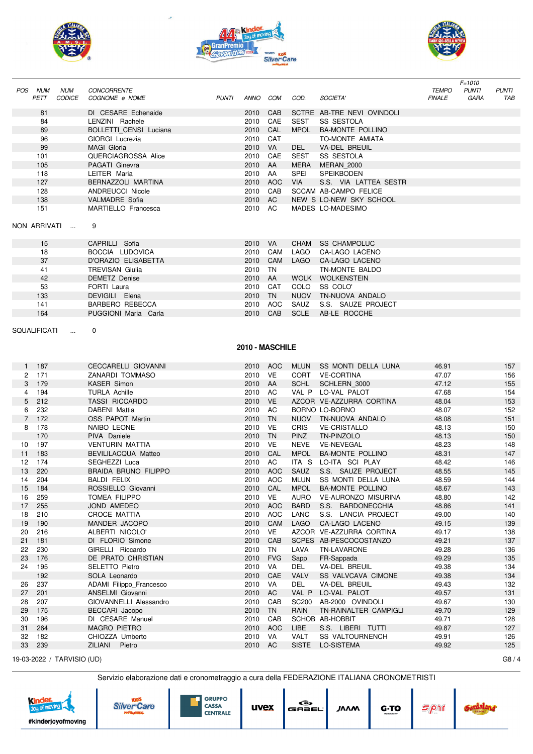



J,



|                      |              |                             |                                            |              |                    |            |              |                                         |                               | $F = 1010$           |                     |
|----------------------|--------------|-----------------------------|--------------------------------------------|--------------|--------------------|------------|--------------|-----------------------------------------|-------------------------------|----------------------|---------------------|
| POS NUM              | PETT         | <b>NUM</b><br><b>CODICE</b> | <b>CONCORRENTE</b><br>COGNOME e NOME       | <b>PUNTI</b> | ANNO COM           |            | COD.         | SOCIETA'                                | <b>TEMPO</b><br><b>FINALE</b> | <b>PUNTI</b><br>GARA | <b>PUNTI</b><br>TAB |
|                      |              |                             |                                            |              |                    |            |              |                                         |                               |                      |                     |
|                      | 81           |                             | DI CESARE Echenaide                        |              | 2010               | CAB        |              | SCTRE AB-TRE NEVI OVINDOLI              |                               |                      |                     |
|                      | 84           |                             | LENZINI Rachele                            |              | 2010               | CAE        | <b>SEST</b>  | <b>SS SESTOLA</b>                       |                               |                      |                     |
|                      | 89           |                             | BOLLETTI CENSI Luciana                     |              | 2010 CAL           |            | <b>MPOL</b>  | <b>BA-MONTE POLLINO</b>                 |                               |                      |                     |
|                      | 96           |                             | GIORGI Lucrezia                            |              | 2010 CAT           |            |              | TO-MONTE AMIATA                         |                               |                      |                     |
|                      | 99           |                             | <b>MAGI Gloria</b>                         |              | 2010 VA            |            | DEL          | <b>VA-DEL BREUIL</b>                    |                               |                      |                     |
|                      | 101          |                             | QUERCIAGROSSA Alice                        |              | 2010               | CAE        | SEST         | SS SESTOLA                              |                               |                      |                     |
|                      | 105          |                             | PAGATI Ginevra                             |              | 2010 AA            |            | MERA         | MERAN 2000                              |                               |                      |                     |
|                      | 118          |                             | LEITER Maria                               |              | 2010 AA            |            | SPEI         | <b>SPEIKBODEN</b>                       |                               |                      |                     |
|                      | 127          |                             | BERNAZZOLI MARTINA                         |              | 2010 AOC           |            | <b>VIA</b>   | S.S. VIA LATTEA SESTR                   |                               |                      |                     |
|                      | 128          |                             | <b>ANDREUCCI Nicole</b>                    |              | 2010 CAB           |            |              | <b>SCCAM AB-CAMPO FELICE</b>            |                               |                      |                     |
|                      | 138          |                             | <b>VALMADRE</b> Sofia                      |              | 2010 AC            |            |              | NEW S LO-NEW SKY SCHOOL                 |                               |                      |                     |
|                      | 151          |                             | MARTIELLO Francesca                        |              | 2010 AC            |            |              | MADES LO-MADESIMO                       |                               |                      |                     |
|                      |              | NON ARRIVATI                | 9                                          |              |                    |            |              |                                         |                               |                      |                     |
|                      |              |                             |                                            |              |                    |            |              |                                         |                               |                      |                     |
|                      | 15           |                             | CAPRILLI Sofia                             |              | 2010 VA            |            |              | CHAM SS CHAMPOLUC                       |                               |                      |                     |
|                      | 18           |                             | BOCCIA LUDOVICA                            |              |                    | 2010 CAM   | LAGO         | CA-LAGO LACENO                          |                               |                      |                     |
|                      | 37           |                             | D'ORAZIO ELISABETTA                        |              | 2010 CAM           |            |              | LAGO CA-LAGO LACENO                     |                               |                      |                     |
|                      | 41           |                             | <b>TREVISAN Giulia</b>                     |              | 2010 TN            |            |              | TN-MONTE BALDO                          |                               |                      |                     |
|                      | 42           |                             | <b>DEMETZ Denise</b>                       |              | 2010 AA            |            |              | WOLK WOLKENSTEIN                        |                               |                      |                     |
|                      | 53           |                             | FORTI Laura                                |              |                    | 2010 CAT   | COLO         | SS COLO'                                |                               |                      |                     |
|                      | 133          |                             | DEVIGILI Elena                             |              | 2010 TN            |            |              | NUOV TN-NUOVA ANDALO                    |                               |                      |                     |
|                      | 141          |                             | BARBERO REBECCA                            |              | 2010 AOC           |            | SAUZ         | S.S. SAUZE PROJECT                      |                               |                      |                     |
|                      | 164          |                             | PUGGIONI Maria Carla                       |              | 2010 CAB           |            | <b>SCLE</b>  | AB-LE ROCCHE                            |                               |                      |                     |
|                      |              |                             |                                            |              |                    |            |              |                                         |                               |                      |                     |
| <b>SQUALIFICATI</b>  |              | $\sim$                      | 0                                          |              |                    |            |              |                                         |                               |                      |                     |
|                      |              |                             |                                            |              |                    |            |              |                                         |                               |                      |                     |
|                      |              |                             |                                            |              | 2010 - MASCHILE    |            |              |                                         |                               |                      |                     |
|                      |              |                             |                                            |              |                    |            |              |                                         |                               |                      |                     |
|                      | 1 187        |                             | <b>CECCARELLI GIOVANNI</b>                 |              | 2010 AOC           |            |              | MLUN SS MONTI DELLA LUNA                | 46.91                         |                      | 157                 |
| $\mathbf{2}^{\circ}$ | 171<br>3 179 |                             | ZANARDI TOMMASO                            |              | 2010 VE            |            |              | CORT VE-CORTINA                         | 47.07<br>47.12                |                      | 156                 |
| 4                    | 194          |                             | <b>KASER Simon</b><br><b>TURLA Achille</b> |              | 2010 AA<br>2010 AC |            |              | SCHL SCHLERN 3000<br>VAL P LO-VAL PALOT | 47.68                         |                      | 155<br>154          |
| 5                    | 212          |                             | <b>TASSI RICCARDO</b>                      |              | 2010 VE            |            |              | AZCOR VE-AZZURRA CORTINA                | 48.04                         |                      | 153                 |
| 6                    | 232          |                             | DABENI Mattia                              |              | 2010 AC            |            |              | BORNO LO-BORNO                          | 48.07                         |                      | 152                 |
|                      | 7 172        |                             | OSS PAPOT Martin                           |              | 2010 TN            |            |              | NUOV TN-NUOVA ANDALO                    | 48.08                         |                      | 151                 |
| 8                    | 178          |                             | NAIBO LEONE                                |              | 2010 VE            |            | <b>CRIS</b>  | <b>VE-CRISTALLO</b>                     | 48.13                         |                      | 150                 |
|                      | 170          |                             | PIVA Daniele                               |              | 2010 TN            |            | <b>PINZ</b>  | TN-PINZOLO                              | 48.13                         |                      | 150                 |
| 10                   | 197          |                             | <b>VENTURIN MATTIA</b>                     |              | 2010 VE            |            | NEVE         | <b>VE-NEVEGAL</b>                       | 48.23                         |                      | 148                 |
| 11                   | 183          |                             | BEVILILACQUA Matteo                        |              | 2010 CAL           |            | MPOL         | <b>BA-MONTE POLLINO</b>                 | 48.31                         |                      | 147                 |
| 12                   | 174          |                             | SEGHEZZI Luca                              |              | 2010 AC            |            |              | ITA S LO-ITA SCI PLAY                   | 48.42                         |                      | 146                 |
| 13                   | 220          |                             | <b>BRAIDA BRUNO FILIPPO</b>                |              |                    | 2010 AOC   |              | SAUZ S.S. SAUZE PROJECT                 | 48.55                         |                      | 145                 |
|                      | 14 204       |                             | <b>BALDI FELIX</b>                         |              |                    |            |              | 2010 AOC MLUN SS MONTI DELLA LUNA       | 48.59                         |                      | 144                 |
| 15                   | 184          |                             | ROSSIELLO Giovanni                         |              | 2010 CAL           |            | <b>MPOL</b>  | <b>BA-MONTE POLLINO</b>                 | 48.67                         |                      | 143                 |
| 16                   | 259          |                             | <b>TOMEA FILIPPO</b>                       |              | 2010 VE            |            | AURO         | <b>VE-AURONZO MISURINA</b>              | 48.80                         |                      | 142                 |
| 17                   | 255          |                             | JOND AMEDEO                                |              | 2010 AOC           |            | BARD         | S.S. BARDONECCHIA                       | 48.86                         |                      | 141                 |
| 18                   | 210          |                             | CROCE MATTIA                               |              | 2010 AOC           |            | LANC         | S.S. LANCIA PROJECT                     | 49.00                         |                      | 140                 |
| 19                   | 190          |                             | MANDER JACOPO                              |              | 2010 CAM           |            | LAGO         | CA-LAGO LACENO                          | 49.15                         |                      | 139                 |
| 20                   | 216          |                             | ALBERTI NICOLO'                            |              | 2010               | VE         |              | AZCOR VE-AZZURRA CORTINA                | 49.17                         |                      | 138                 |
| 21                   | 181          |                             | DI FLORIO Simone                           |              | 2010 CAB           |            |              | SCPES AB-PESCOCOSTANZO                  | 49.21                         |                      | 137                 |
| 22                   | 230          |                             | GIRELLI Riccardo                           |              | 2010               | TN         | LAVA         | <b>TN-LAVARONE</b>                      | 49.28                         |                      | 136                 |
| 23                   | 176          |                             | DE PRATO CHRISTIAN                         |              | 2010               | <b>FVG</b> | Sapp         | FR-Sappada                              | 49.29                         |                      | 135                 |
| 24                   | 195          |                             | SELETTO Pietro                             |              | 2010               | VA         | DEL          | VA-DEL BREUIL                           | 49.38                         |                      | 134                 |
|                      | 192          |                             | SOLA Leonardo                              |              | 2010               | CAE        | <b>VALV</b>  | <b>SS VALVCAVA CIMONE</b>               | 49.38                         |                      | 134                 |
| 26                   | 237          |                             | ADAMI Filippo_Francesco                    |              | 2010               | VA         | DEL          | VA-DEL BREUIL                           | 49.43                         |                      | 132                 |
| 27                   | 201          |                             | ANSELMI Giovanni                           |              | 2010 AC            |            | VAL P        | LO-VAL PALOT                            | 49.57                         |                      | 131                 |
| 28                   | 207          |                             | GIOVANNELLI Alessandro                     |              | 2010               | CAB        | <b>SC200</b> | AB-2000 OVINDOLI                        | 49.67                         |                      | 130                 |
| 29                   | 175          |                             | BECCARI Jacopo                             |              | 2010 TN            |            | RAIN         | TN-RAINALTER CAMPIGLI                   | 49.70                         |                      | 129                 |
| 30                   | 196          |                             | DI CESARE Manuel                           |              | 2010               | CAB        |              | SCHOB AB-HOBBIT                         | 49.71                         |                      | 128                 |
| 31                   | 264          |                             | <b>MAGRO PIETRO</b>                        |              | 2010 AOC           |            | LIBE         | S.S. LIBERI TUTTI                       | 49.87                         |                      | 127                 |
| 32                   | 182          |                             | CHIOZZA Umberto                            |              | 2010 VA            |            | <b>VALT</b>  | <b>SS VALTOURNENCH</b>                  | 49.91                         |                      | 126                 |
| 33                   | 239          |                             | <b>ZILIANI</b><br>Pietro                   |              | 2010 AC            |            | <b>SISTE</b> | LO-SISTEMA                              | 49.92                         |                      | 125                 |
|                      |              | 19-03-2022 / TARVISIO (UD)  |                                            |              |                    |            |              |                                         |                               |                      | G8/4                |
|                      |              |                             |                                            |              |                    |            |              |                                         |                               |                      |                     |

|  |  |  | Servizio elaborazione dati e cronometraggio a cura della FEDERAZIONE ITALIANA CRONOMETRISTI |  |  |
|--|--|--|---------------------------------------------------------------------------------------------|--|--|
|  |  |  |                                                                                             |  |  |
|  |  |  |                                                                                             |  |  |







| uvex | œ,<br><b>GRBEL</b> | <b>JAAM</b> |
|------|--------------------|-------------|
|------|--------------------|-------------|

| RONOMETRISTI |      |  |
|--------------|------|--|
| G-TO         | 5011 |  |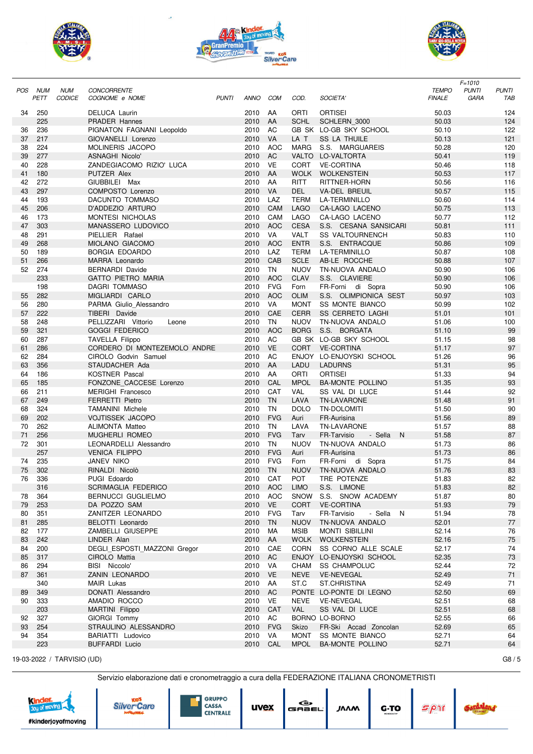





|     |      |               |                                       |              |              |            |             |                                         |                | $F = 1010$                   |
|-----|------|---------------|---------------------------------------|--------------|--------------|------------|-------------|-----------------------------------------|----------------|------------------------------|
| POS | NUM  | <b>NUM</b>    | <b>CONCORRENTE</b>                    |              |              |            |             |                                         | <b>TEMPO</b>   | <b>PUNTI</b><br><b>PUNTI</b> |
|     | PETT | <b>CODICE</b> | COGNOME e NOME                        | <b>PUNTI</b> | <b>ANNO</b>  | <b>COM</b> | COD.        | SOCIETA'                                | <b>FINALE</b>  | <b>GARA</b><br>TAB           |
| 34  | 250  |               |                                       |              | 2010         | AA         | ORTI        | <b>ORTISEI</b>                          |                | 124                          |
|     | 225  |               | DELUCA Laurin<br><b>PRADER Hannes</b> |              | 2010         | AA         | <b>SCHL</b> | SCHLERN 3000                            | 50.03<br>50.03 | 124                          |
| 36  | 236  |               | PIGNATON FAGNANI Leopoldo             |              | 2010         | AC         |             | GB SK LO-GB SKY SCHOOL                  | 50.10          | 122                          |
|     |      |               |                                       |              |              | <b>VA</b>  | LA T        |                                         |                |                              |
| 37  | 217  |               | GIOVANELLI Lorenzo                    |              | 2010         |            |             | <b>SS LA THUILE</b>                     | 50.13          | 121                          |
| 38  | 224  |               | MOLINERIS JACOPO                      |              | 2010         | <b>AOC</b> | <b>MARG</b> | S.S. MARGUAREIS                         | 50.28          | 120                          |
| 39  | 277  |               | ASNAGHI Nicolo'                       |              | 2010         | AC         |             | VALTO LO-VALTORTA                       | 50.41          | 119                          |
| 40  | 228  |               | ZANDEGIACOMO RIZIO' LUCA              |              | 2010         | <b>VE</b>  | <b>CORT</b> | <b>VE-CORTINA</b>                       | 50.46          | 118                          |
| 41  | 180  |               | PUTZER Alex                           |              | 2010         | AA         | <b>WOLK</b> | <b>WOLKENSTEIN</b>                      | 50.53          | 117                          |
| 42  | 272  |               | GIUBBILEI Max                         |              | 2010         | AA         | <b>RITT</b> | RITTNER-HORN                            | 50.56          | 116                          |
| 43  | 297  |               | COMPOSTO Lorenzo                      |              | 2010         | <b>VA</b>  | <b>DEL</b>  | <b>VA-DEL BREUIL</b>                    | 50.57          | 115                          |
| 44  | 193  |               | DACUNTO TOMMASO                       |              | 2010         | LAZ        | <b>TERM</b> | LA-TERMINILLO                           | 50.60          | 114                          |
| 45  | 206  |               | D'ADDEZIO ARTURO                      |              | 2010         | CAM        | <b>LAGO</b> | <b>CA-LAGO LACENO</b>                   | 50.75          | 113                          |
| 46  | 173  |               | MONTESI NICHOLAS                      |              | 2010         | CAM        | <b>LAGO</b> | CA-LAGO LACENO                          | 50.77          | 112                          |
| 47  | 303  |               | MANASSERO LUDOVICO                    |              | 2010         | <b>AOC</b> | <b>CESA</b> | S.S. CESANA SANSICARI                   | 50.81          | 111                          |
| 48  | 291  |               | PIELLIER Rafael                       |              | 2010         | VA         | <b>VALT</b> | <b>SS VALTOURNENCH</b>                  | 50.83          | 110                          |
| 49  | 268  |               | <b>MIOLANO GIACOMO</b>                |              | 2010         | <b>AOC</b> | <b>ENTR</b> | S.S. ENTRACQUE                          | 50.86          | 109                          |
| 50  | 189  |               | <b>BORGIA EDOARDO</b>                 |              | 2010         | LAZ        | <b>TERM</b> | LA-TERMINILLO                           | 50.87          | 108                          |
| 51  | 266  |               | MARRA Leonardo                        |              | 2010         | CAB        | <b>SCLE</b> | AB-LE ROCCHE                            | 50.88          | 107                          |
| 52  | 274  |               | <b>BERNARDI Davide</b>                |              | 2010         | <b>TN</b>  | <b>NUOV</b> | TN-NUOVA ANDALO                         | 50.90          | 106                          |
|     | 233  |               | <b>GATTO PIETRO MARIA</b>             |              | 2010         | <b>AOC</b> | <b>CLAV</b> | S.S. CLAVIERE                           | 50.90          | 106                          |
|     | 198  |               | <b>DAGRI TOMMASO</b>                  |              | 2010         | <b>FVG</b> | Forn        | FR-Forni di Sopra                       | 50.90          | 106                          |
| 55  | 282  |               | MIGLIARDI CARLO                       |              | 2010         | <b>AOC</b> | <b>OLIM</b> | S.S. OLIMPIONICA SEST                   | 50.97          | 103                          |
| 56  | 280  |               | PARMA Giulio_Alessandro               |              | 2010         | VA         | <b>MONT</b> | <b>SS MONTE BIANCO</b>                  | 50.99          | 102                          |
| 57  | 222  |               | TIBERI Davide                         |              | 2010         | CAE        | <b>CERR</b> | <b>SS CERRETO LAGHI</b>                 | 51.01          | 101                          |
| 58  | 248  |               | PELLIZZARI Vittorio<br>Leone          |              | 2010         | <b>TN</b>  | <b>NUOV</b> | TN-NUOVA ANDALO                         | 51.06          | 100                          |
| 59  | 321  |               | <b>GOGGI FEDERICO</b>                 |              | 2010         | <b>AOC</b> | <b>BORG</b> | S.S. BORGATA                            | 51.10          | 99                           |
| 60  | 287  |               | <b>TAVELLA Filippo</b>                |              | 2010         | AC         |             | GB SK LO-GB SKY SCHOOL                  | 51.15          | 98                           |
| 61  | 286  |               | CORDERO DI MONTEZEMOLO ANDRE          |              | 2010         | <b>VE</b>  | <b>CORT</b> | <b>VE-CORTINA</b>                       | 51.17          | 97                           |
|     |      |               |                                       |              |              | AC         |             |                                         |                |                              |
| 62  | 284  |               | CIROLO Godvin Samuel                  |              | 2010         |            |             | ENJOY LO-ENJOYSKI SCHOOL                | 51.26          | 96                           |
| 63  | 356  |               | STAUDACHER Ada                        |              | 2010         | AA         | LADU        | <b>LADURNS</b>                          | 51.31          | 95                           |
| 64  | 186  |               | <b>KOSTNER Pascal</b>                 |              | 2010         | AA         | ORTI        | <b>ORTISEI</b>                          | 51.33          | 94                           |
| 65  | 185  |               | FONZONE CACCESE Lorenzo               |              | 2010         | CAL        | <b>MPOL</b> | <b>BA-MONTE POLLINO</b>                 | 51.35          | 93                           |
| 66  | 211  |               | <b>MERIGHI Francesco</b>              |              | 2010         | CAT        | <b>VAL</b>  | SS VAL DI LUCE                          | 51.44          | 92                           |
| 67  | 249  |               | <b>FERRETTI Pietro</b>                |              | 2010         | <b>TN</b>  | LAVA        | <b>TN-LAVARONE</b>                      | 51.48          | 91                           |
| 68  | 324  |               | <b>TAMANINI Michele</b>               |              | 2010         | <b>TN</b>  | <b>DOLO</b> | <b>TN-DOLOMITI</b>                      | 51.50          | 90                           |
| 69  | 202  |               | <b>VOJTISSEK JACOPO</b>               |              | 2010         | <b>FVG</b> | Auri        | FR-Aurisina                             | 51.56          | 89                           |
| 70  | 262  |               | <b>ALIMONTA Matteo</b>                |              | 2010         | <b>TN</b>  | LAVA        | <b>TN-LAVARONE</b>                      | 51.57          | 88                           |
| 71  | 256  |               | <b>MUGHERLI ROMEO</b>                 |              | 2010         | <b>FVG</b> | Tarv        | FR-Tarvisio<br>- Sella<br>N             | 51.58          | 87                           |
| 72  | 301  |               | LEONARDELLI Alessandro                |              | 2010         | <b>TN</b>  | <b>NUOV</b> | TN-NUOVA ANDALO                         | 51.73          | 86                           |
|     | 257  |               | <b>VENICA FILIPPO</b>                 |              | 2010         | <b>FVG</b> | Auri        | FR-Aurisina                             | 51.73          | 86                           |
| 74  | 235  |               | JANEV NIKO                            |              | 2010         | <b>FVG</b> | Forn        | FR-Forni di Sopra                       | 51.75          | 84                           |
| 75  | 302  |               | RINALDI Nicolò                        |              | 2010         | <b>TN</b>  | <b>NUOV</b> | TN-NUOVA ANDALO                         | 51.76          | 83                           |
| 76  | 336  |               | PUGI Edoardo                          |              | 2010         | CAT        | POT         | TRE POTENZE                             | 51.83          | 82                           |
|     | 316  |               | SCRIMAGLIA FEDERICO                   |              | 2010 AOC     |            | <b>LIMO</b> | S.S. LIMONE                             | 51.83          | 82                           |
| 78  | 364  |               | BERNUCCI GUGLIELMO                    |              | 2010         | <b>AOC</b> | <b>SNOW</b> | S.S. SNOW ACADEMY                       | 51.87          | 80                           |
| 79  | 253  |               | DA POZZO SAM                          |              | 2010         | VE         | <b>CORT</b> | <b>VE-CORTINA</b>                       | 51.93          | $79\,$                       |
| 80  | 351  |               | ZANITZER LEONARDO                     |              | 2010         | <b>FVG</b> | Tarv        | - Sella N<br>FR-Tarvisio                | 51.94          | 78                           |
| 81  | 285  |               | BELOTTI Leonardo                      |              | 2010 TN      |            | <b>NUOV</b> | TN-NUOVA ANDALO                         | 52.01          | 77                           |
| 82  | 177  |               | ZAMBELLI GIUSEPPE                     |              | 2010         | МA         | <b>MSIB</b> | <b>MONTI SIBILLINI</b>                  | 52.14          | 76                           |
| 83  | 242  |               | LINDER Alan                           |              | 2010 AA      |            |             | WOLK WOLKENSTEIN                        | 52.16          | 75                           |
| 84  | 200  |               | DEGLI ESPOSTI MAZZONI Gregor          |              | 2010         | CAE        |             | CORN SS CORNO ALLE SCALE                | 52.17          | 74                           |
| 85  | 317  |               | CIROLO Mattia                         |              | 2010 AC      |            |             | ENJOY LO-ENJOYSKI SCHOOL                | 52.35          | 73                           |
| 86  | 294  |               | BISI Niccolo'                         |              | 2010 VA      |            | CHAM        | <b>SS CHAMPOLUC</b>                     | 52.44          | 72                           |
| 87  | 361  |               | ZANIN LEONARDO                        |              | 2010 VE      |            | <b>NEVE</b> | <b>VE-NEVEGAL</b>                       | 52.49          | $71$                         |
|     | 340  |               | MAIR Lukas                            |              | 2010 AA      |            | ST.C        | <b>ST.CHRISTINA</b>                     | 52.49          | 71                           |
| 89  | 349  |               | DONATI Alessandro                     |              | 2010         | <b>AC</b>  |             | PONTE LO-PONTE DI LEGNO                 | 52.50          | 69                           |
| 90  | 333  |               | AMADIO ROCCO                          |              | 2010         | VE         | <b>NEVE</b> | <b>VE-NEVEGAL</b>                       | 52.51          | 68                           |
|     | 203  |               |                                       |              | 2010         | CAT        | <b>VAL</b>  | SS VAL DI LUCE                          | 52.51          |                              |
|     | 327  |               | MARTINI Filippo                       |              |              | AC         |             |                                         |                | 68                           |
| 92  | 254  |               | GIORGI Tommy<br>STRAULINO ALESSANDRO  |              | 2010<br>2010 | <b>FVG</b> | Skizo       | BORNO LO-BORNO<br>FR-Ski Accad Zoncolan | 52.55<br>52.69 | 66                           |
| 93  |      |               |                                       |              |              |            |             |                                         |                | 65                           |
| 94  | 354  |               | BARIATTI Ludovico                     |              | 2010         | VA         | <b>MONT</b> | SS MONTE BIANCO                         | 52.71          | 64                           |
|     | 223  |               | <b>BUFFARDI Lucio</b>                 |              | 2010         | CAL        | <b>MPOL</b> | <b>BA-MONTE POLLINO</b>                 | 52.71          | 64                           |

19-03-2022 / TARVISIO (UD) G8 / 5

Servizio elaborazione dati e cronometraggio a cura della FEDERAZIONE ITALIANA CRONOM





**GRUPPO<br>CASSA<br>CENTRALE** 

| uvex | э.<br>GABEL |  |
|------|-------------|--|
|      |             |  |

| 1ETRISTI |  |
|----------|--|
|          |  |

 $G-TO$ 

**JAAM**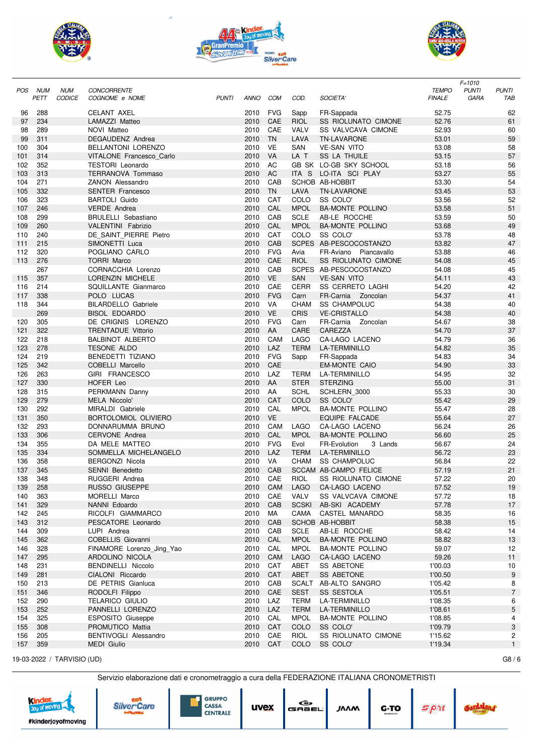





|     |            |               |                            |              |             |            |             |                              |               | $F = 1010$                   |
|-----|------------|---------------|----------------------------|--------------|-------------|------------|-------------|------------------------------|---------------|------------------------------|
| POS | <b>NUM</b> | <b>NUM</b>    | CONCORRENTE                |              |             |            |             |                              | <b>TEMPO</b>  | <b>PUNTI</b><br><b>PUNTI</b> |
|     | PETT       | <b>CODICE</b> | COGNOME e NOME             | <b>PUNTI</b> | <b>ANNO</b> | <b>COM</b> | COD.        | <b>SOCIETA</b>               | <b>FINALE</b> | <b>GARA</b><br>TAB           |
|     |            |               |                            |              |             |            |             |                              |               |                              |
| 96  | 288        |               | <b>CELANT AXEL</b>         |              | 2010        | <b>FVG</b> | Sapp        | FR-Sappada                   | 52.75         | 62                           |
| 97  | 234        |               | LAMAZZI Matteo             |              | 2010        | CAE        | <b>RIOL</b> | <b>SS RIOLUNATO CIMONE</b>   | 52.76         | 61                           |
| 98  | 289        |               | NOVI Matteo                |              | 2010        | CAE        | <b>VALV</b> | SS VALVCAVA CIMONE           | 52.93         | 60                           |
| 99  | 311        |               | DEGAUDENZ Andrea           |              | 2010        | <b>TN</b>  | LAVA        | <b>TN-LAVARONE</b>           | 53.01         | 59                           |
| 100 | 304        |               | BELLANTONI LORENZO         |              | 2010        | <b>VE</b>  | <b>SAN</b>  | <b>VE-SAN VITO</b>           | 53.08         | 58                           |
| 101 | 314        |               | VITALONE Francesco Carlo   |              | 2010        | VA         | LA T        | <b>SS LA THUILE</b>          | 53.15         | 57                           |
| 102 | 352        |               | <b>TESTORI</b> Leonardo    |              | 2010        | AC         |             | GB SK LO-GB SKY SCHOOL       | 53.18         | 56                           |
| 103 | 313        |               | <b>TERRANOVA Tommaso</b>   |              | 2010        | AC         | ITA S       | LO-ITA SCI PLAY              | 53.27         | 55                           |
| 104 | 271        |               | <b>ZANON Alessandro</b>    |              | 2010        | CAB        |             | SCHOB AB-HOBBIT              | 53.30         | 54                           |
|     |            |               |                            |              |             | <b>TN</b>  |             |                              |               |                              |
| 105 | 332        |               | <b>SENTER Francesco</b>    |              | 2010        |            | LAVA        | <b>TN-LAVARONE</b>           | 53.45         | 53                           |
| 106 | 323        |               | <b>BARTOLI Guido</b>       |              | 2010        | <b>CAT</b> | COLO        | SS COLO'                     | 53.56         | 52                           |
| 107 | 246        |               | <b>VERDE</b> Andrea        |              | 2010        | CAL        | <b>MPOL</b> | <b>BA-MONTE POLLINO</b>      | 53.58         | 51                           |
| 108 | 299        |               | <b>BRULELLI</b> Sebastiano |              | 2010        | CAB        | <b>SCLE</b> | AB-LE ROCCHE                 | 53.59         | 50                           |
| 109 | 260        |               | VALENTINI Fabrizio         |              | 2010        | CAL        | <b>MPOL</b> | <b>BA-MONTE POLLINO</b>      | 53.68         | 49                           |
| 110 | 240        |               | DE_SAINT_PIERRE_Pietro     |              | 2010        | CAT        | COLO        | SS COLO'                     | 53.78         | 48                           |
| 111 | 215        |               | SIMONETTI Luca             |              | 2010        | CAB        |             | SCPES AB-PESCOCOSTANZO       | 53.82         | 47                           |
| 112 | 320        |               | POGLIANO CARLO             |              | 2010        | <b>FVG</b> | Avia        | FR-Aviano Piancavallo        | 53.88         | 46                           |
| 113 | 276        |               | <b>TORRI Marco</b>         |              | 2010        | CAE        | <b>RIOL</b> | <b>SS RIOLUNATO CIMONE</b>   | 54.08         | 45                           |
|     | 267        |               | CORNACCHIA Lorenzo         |              | 2010        | CAB        |             | SCPES AB-PESCOCOSTANZO       | 54.08         | 45                           |
| 115 | 357        |               | LORENZIN MICHELE           |              | 2010        | <b>VE</b>  | <b>SAN</b>  | <b>VE-SAN VITO</b>           | 54.11         | 43                           |
| 116 | 214        |               | SQUILLANTE Gianmarco       |              | 2010        | CAE        | <b>CERR</b> | <b>SS CERRETO LAGHI</b>      | 54.20         | 42                           |
|     | 338        |               |                            |              | 2010        | <b>FVG</b> |             | FR-Carnia Zoncolan           |               | 41                           |
| 117 |            |               | POLO LUCAS                 |              |             |            | Carn        |                              | 54.37         |                              |
| 118 | 344        |               | <b>BILARDELLO Gabriele</b> |              | 2010        | <b>VA</b>  | <b>CHAM</b> | <b>SS CHAMPOLUC</b>          | 54.38         | 40                           |
|     | 269        |               | <b>BISOL EDOARDO</b>       |              | 2010        | <b>VE</b>  | <b>CRIS</b> | <b>VE-CRISTALLO</b>          | 54.38         | 40                           |
| 120 | 305        |               | DE CRIGNIS LORENZO         |              | 2010        | <b>FVG</b> | Carn        | FR-Carnia<br>Zoncolan        | 54.67         | 38                           |
| 121 | 322        |               | <b>TRENTADUE Vittorio</b>  |              | 2010        | AA         | <b>CARE</b> | CAREZZA                      | 54.70         | 37                           |
| 122 | 218        |               | <b>BALBINOT ALBERTO</b>    |              | 2010        | CAM        | <b>LAGO</b> | CA-LAGO LACENO               | 54.79         | 36                           |
| 123 | 278        |               | <b>TESONE ALDO</b>         |              | 2010        | LAZ        | <b>TERM</b> | <b>LA-TERMINILLO</b>         | 54.82         | 35                           |
| 124 | 219        |               | <b>BENEDETTI TIZIANO</b>   |              | 2010        | <b>FVG</b> | Sapp        | FR-Sappada                   | 54.83         | 34                           |
| 125 | 342        |               | COBELLI Marcello           |              | 2010        | CAE        |             | <b>EM-MONTE CAIO</b>         | 54.90         | 33                           |
| 126 | 263        |               | GIRI FRANCESCO             |              | 2010        | LAZ        | <b>TERM</b> | <b>LA-TERMINILLO</b>         | 54.95         | 32                           |
| 127 | 330        |               | HOFER Leo                  |              | 2010        | AA         | <b>STER</b> | <b>STERZING</b>              | 55.00         | 31                           |
| 128 | 315        |               | PERKMANN Danny             |              | 2010        | AA         | <b>SCHL</b> | SCHLERN_3000                 | 55.33         | 30                           |
| 129 | 279        |               | <b>MELA Niccolo'</b>       |              | 2010        | CAT        | COLO        | SS COLO'                     | 55.42         | 29                           |
|     |            |               |                            |              |             | CAL        |             |                              |               |                              |
| 130 | 292        |               | MIRALDI Gabriele           |              | 2010        |            | <b>MPOL</b> | <b>BA-MONTE POLLINO</b>      | 55.47         | 28                           |
| 131 | 350        |               | BORTOLOMIOL OLIVIERO       |              | 2010        | <b>VE</b>  |             | <b>EQUIPE FALCADE</b>        | 55.64         | 27                           |
| 132 | 293        |               | DONNARUMMA BRUNO           |              | 2010        | CAM        | <b>LAGO</b> | CA-LAGO LACENO               | 56.24         | 26                           |
| 133 | 306        |               | <b>CERVONE Andrea</b>      |              | 2010        | CAL        | <b>MPOL</b> | <b>BA-MONTE POLLINO</b>      | 56.60         | 25                           |
| 134 | 355        |               | DA MELE MATTEO             |              | 2010        | <b>FVG</b> | Evol        | FR-Evolution<br>3 Lands      | 56.67         | 24                           |
| 135 | 334        |               | SOMMELLA MICHELANGELO      |              | 2010        | LAZ        | <b>TERM</b> | LA-TERMINILLO                | 56.72         | 23                           |
| 136 | 358        |               | <b>BERGONZI Nicola</b>     |              | 2010        | VA         | CHAM        | <b>SS CHAMPOLUC</b>          | 56.84         | 22                           |
| 137 | 345        |               | <b>SENNI Benedetto</b>     |              | 2010        | CAB        |             | <b>SCCAM AB-CAMPO FELICE</b> | 57.19         | 21                           |
| 138 | 348        |               | RUGGERI Andrea             |              | 2010        | CAE        | <b>RIOL</b> | SS RIOLUNATO CIMONE          | 57.22         | 20                           |
| 139 | 258        |               | RUSSO GIUSEPPE             |              | 2010 CAM    |            | LAGO        | CA-LAGO LACENO               | 57.52         | 19                           |
| 140 | 363        |               | MORELLI Marco              |              | 2010        | CAE        | <b>VALV</b> | SS VALVCAVA CIMONE           | 57.72         | 18                           |
| 141 | 329        |               | NANNI Edoardo              |              | 2010        | CAB        |             | SCSKI AB-SKI ACADEMY         | 57.78         | 17                           |
| 142 | 245        |               | RICOLFI GIAMMARCO          |              | 2010        | МA         | CAMA        | CASTEL MANARDO               | 58.35         | 16                           |
|     | 312        |               | PESCATORE Leonardo         |              | 2010        | CAB        |             | SCHOB AB-HOBBIT              | 58.38         | 15                           |
| 143 |            |               |                            |              |             |            |             |                              |               |                              |
| 144 | 309        |               | LUPI Andrea                |              | 2010        | CAB        | <b>SCLE</b> | AB-LE ROCCHE                 | 58.42         | 14                           |
| 145 | 362        |               | COBELLIS Giovanni          |              | 2010        | CAL        | <b>MPOL</b> | <b>BA-MONTE POLLINO</b>      | 58.82         | 13                           |
| 146 | 328        |               | FINAMORE Lorenzo Jing Yao  |              | 2010        | CAL        | <b>MPOL</b> | <b>BA-MONTE POLLINO</b>      | 59.07         | 12                           |
| 147 | 295        |               | ARDOLINO NICOLA            |              | 2010        | CAM        | LAGO        | CA-LAGO LACENO               | 59.26         | 11                           |
| 148 | 231        |               | BENDINELLI Niccolo         |              | 2010        | CAT        | ABET        | SS ABETONE                   | 1'00.03       | 10                           |
| 149 | 281        |               | CIALONI Riccardo           |              | 2010        | CAT        | ABET        | <b>SS ABETONE</b>            | 1'00.50       | $\boldsymbol{9}$             |
| 150 | 213        |               | DE PETRIS Gianluca         |              | 2010        | CAB        |             | SCALT AB-ALTO SANGRO         | 1'05.42       | 8                            |
| 151 | 346        |               | RODOLFI Filippo            |              | 2010        | CAE        | <b>SEST</b> | SS SESTOLA                   | 1'05.51       | $\overline{7}$               |
| 152 | 290        |               | <b>TELARICO GIULIO</b>     |              | 2010        | LAZ        | <b>TERM</b> | LA-TERMINILLO                | 1'08.35       | 6                            |
| 153 | 252        |               | PANNELLI LORENZO           |              | 2010        | LAZ        | <b>TERM</b> | LA-TERMINILLO                | 1'08.61       | 5                            |
| 154 | 325        |               | ESPOSITO Giuseppe          |              | 2010        | CAL        | <b>MPOL</b> | <b>BA-MONTE POLLINO</b>      | 1'08.85       | 4                            |
| 155 | 308        |               | PROMUTICO Mattia           |              | 2010        | CAT        | COLO        | SS COLO'                     | 1'09.79       | 3                            |
|     |            |               |                            |              |             |            |             |                              |               |                              |
| 156 | 205        |               | BENTIVOGLI Alessandro      |              | 2010        | CAE        | <b>RIOL</b> | SS RIOLUNATO CIMONE          | 1'15.62       | 2                            |
| 157 | 359        |               | <b>MEDI Giulio</b>         |              | 2010        | CAT        | COLO        | SS COLO'                     | 1'19.34       | 1                            |

19-03-2022 / TARVISIO (UD) G8 / 6

Servizio elaborazione dati e cronometraggio a cura della FEDERAZIONE ITALIANA CRONOMETRISTI





| $\epsilon$<br>uvex<br>GABEL<br><b>JAAM</b> |  |
|--------------------------------------------|--|
|--------------------------------------------|--|

| ÆTRISTI           |  |
|-------------------|--|
| <i><b>SAM</b></i> |  |

 $G-TO$